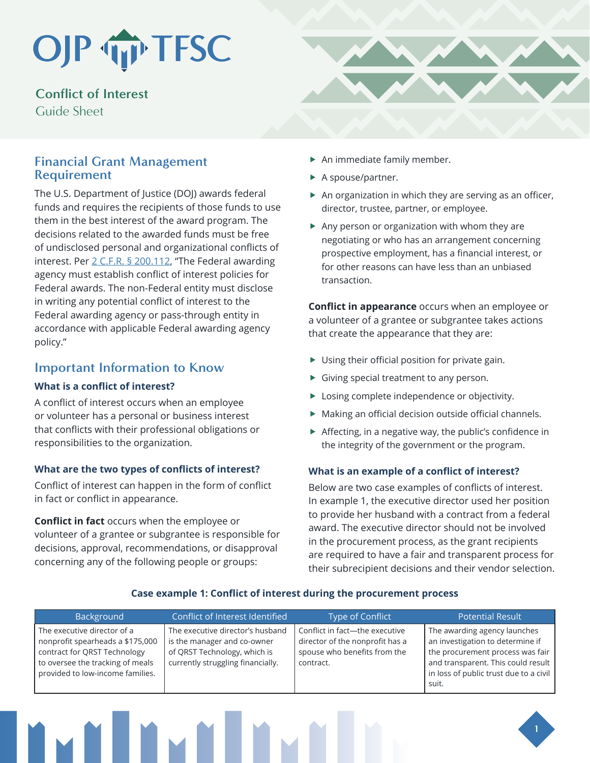## OJP TP TFSC

**Conflict of Interest** Guide Sheet

### **Financial Grant Management Requirement**

The U.S. Department of Justice (DOJ) awards federal funds and requires the recipients of those funds to use them in the best interest of the award program. The decisions related to the awarded funds must be free of undisclosed personal and organizational conflicts of interest. Per 2 C.F.R. § 200.112, "The Federal awarding agency must establish conflict of interest policies for Federal awards. The non-Federal entity must disclose in writing any potential conflict of interest to the Federal awarding agency or pass-through entity in accordance with applicable Federal awarding agency policy."

## **Important Information to Know**

#### **What is a conflict of interest?**

A conflict of interest occurs when an employee or volunteer has a personal or business interest that conflicts with their professional obligations or responsibilities to the organization.

#### **What are the two types of conflicts of interest?**

Conflict of interest can happen in the form of conflict in fact or conflict in appearance.

**Conflict in fact** occurs when the employee or volunteer of a grantee or subgrantee is responsible for decisions, approval, recommendations, or disapproval concerning any of the following people or groups:



- $\blacktriangleright$  An immediate family member.
- $\blacktriangleright$  A spouse/partner.
- $\blacktriangleright$  An organization in which they are serving as an officer, director, trustee, partner, or employee.
- $\blacktriangleright$  Any person or organization with whom they are negotiating or who has an arrangement concerning prospective employment, has a financial interest, or for other reasons can have less than an unbiased transaction.

**Conflict in appearance** occurs when an employee or a volunteer of a grantee or subgrantee takes actions that create the appearance that they are:

- $\blacktriangleright$  Using their official position for private gain.
- $\blacktriangleright$  Giving special treatment to any person.
- $\blacktriangleright$  Losing complete independence or objectivity.
- $\blacktriangleright$  Making an official decision outside official channels.
- $\triangleright$  Affecting, in a negative way, the public's confidence in the integrity of the government or the program.

#### **What is an example of a conflict of interest?**

Below are two case examples of conflicts of interest. In example 1, the executive director used her position to provide her husband with a contract from a federal award. The executive director should not be involved in the procurement process, as the grant recipients are required to have a fair and transparent process for their subrecipient decisions and their vendor selection.

| Background                                                                                                                                                              | Conflict of Interest Identified                                                                                                      | Type of Conflict                                                                                               | <b>Potential Result</b>                                                                                                                                                                       |
|-------------------------------------------------------------------------------------------------------------------------------------------------------------------------|--------------------------------------------------------------------------------------------------------------------------------------|----------------------------------------------------------------------------------------------------------------|-----------------------------------------------------------------------------------------------------------------------------------------------------------------------------------------------|
| The executive director of a<br>nonprofit spearheads a \$175,000<br>contract for ORST Technology<br>to oversee the tracking of meals<br>provided to low-income families. | The executive director's husband<br>is the manager and co-owner<br>of QRST Technology, which is<br>currently struggling financially. | Conflict in fact-the executive<br>director of the nonprofit has a<br>spouse who benefits from the<br>contract. | The awarding agency launches<br>an investigation to determine if<br>the procurement process was fair<br>and transparent. This could result<br>in loss of public trust due to a civil<br>suit. |

#### **Case example 1: Conflict of interest during the procurement process**

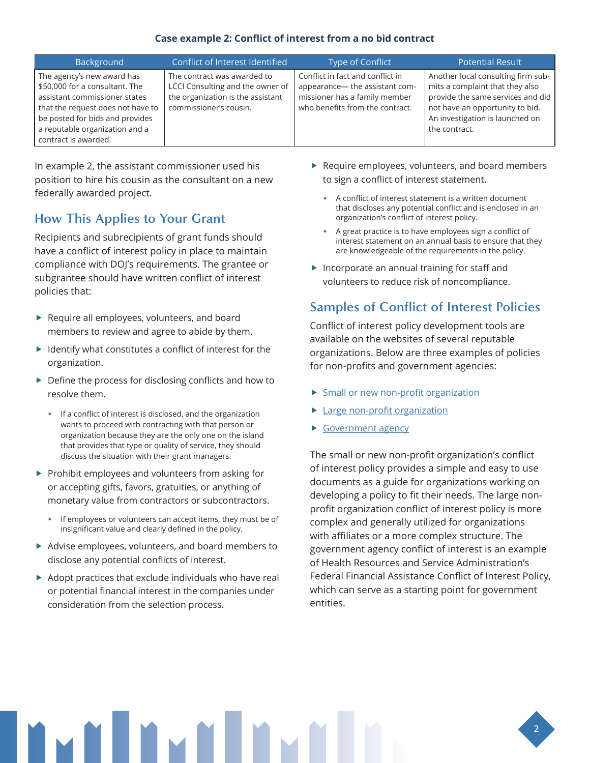#### **Case example 2: Conflict of interest from a no bid contract**

| Background                                                                                                                                                                                                                      | Conflict of Interest Identified                                                                                                | Type of Conflict                                                                                                                       | <b>Potential Result</b>                                                                                                                                                                           |
|---------------------------------------------------------------------------------------------------------------------------------------------------------------------------------------------------------------------------------|--------------------------------------------------------------------------------------------------------------------------------|----------------------------------------------------------------------------------------------------------------------------------------|---------------------------------------------------------------------------------------------------------------------------------------------------------------------------------------------------|
| The agency's new award has<br>\$50,000 for a consultant. The<br>assistant commissioner states<br>that the request does not have to<br>be posted for bids and provides<br>a reputable organization and a<br>contract is awarded. | The contract was awarded to<br>LCCI Consulting and the owner of<br>the organization is the assistant<br>commissioner's cousin. | Conflict in fact and conflict in<br>appearance- the assistant com-<br>missioner has a family member<br>who benefits from the contract. | Another local consulting firm sub-<br>mits a complaint that they also<br>provide the same services and did<br>not have an opportunity to bid.<br>An investigation is launched on<br>the contract. |

In example 2, the assistant commissioner used his position to hire his cousin as the consultant on a new federally awarded project.

## **How This Applies to Your Grant**

Recipients and subrecipients of grant funds should have a conflict of interest policy in place to maintain compliance with DOJ's requirements. The grantee or subgrantee should have written conflict of interest policies that:

- $\blacktriangleright$  Require all employees, volunteers, and board members to review and agree to abide by them.
- $\blacktriangleright$  Identify what constitutes a conflict of interest for the organization.
- $\blacktriangleright$  Define the process for disclosing conflicts and how to resolve them.
	- **If a conflict of interest is disclosed, and the organization** wants to proceed with contracting with that person or organization because they are the only one on the island that provides that type or quality of service, they should discuss the situation with their grant managers.
- $\blacktriangleright$  Prohibit employees and volunteers from asking for or accepting gifts, favors, gratuities, or anything of monetary value from contractors or subcontractors.
	- If employees or volunteers can accept items, they must be of insignificant value and clearly defined in the policy.
- $\blacktriangleright$  Advise employees, volunteers, and board members to disclose any potential conflicts of interest.
- $\blacktriangleright$  Adopt practices that exclude individuals who have real or potential financial interest in the companies under consideration from the selection process.
- $\blacktriangleright$  Require employees, volunteers, and board members to sign a conflict of interest statement.
	- A conflict of interest statement is a written document that discloses any potential conflict and is enclosed in an organization's conflict of interest policy.
	- A great practice is to have employees sign a conflict of interest statement on an annual basis to ensure that they are knowledgeable of the requirements in the policy.
- $\blacktriangleright$  Incorporate an annual training for staff and volunteers to reduce risk of noncompliance.

## **Samples of Conflict of Interest Policies**

Conflict of interest policy development tools are available on the websites of several reputable organizations. Below are three examples of policies for non-profits and government agencies:

- $\triangleright$  [Small or new non-profit organization](https://www.councilofnonprofits.org/sites/default/files/member-resources/files/Sample-Conflict-of-Interest-Policy-small-nonprofits-NNY.docx)
- [Large non-profit organization](https://www.councilofnonprofits.org/sites/default/files/member-resources/files/Sample-Conflict-of-Interest-Policy-large-nonprofits-NY_0.docx)
- **[Government agency](https://www.hrsa.gov/grants/standard-terms/conflict-interest-policy)**

The small or new non-profit organization's conflict of interest policy provides a simple and easy to use documents as a guide for organizations working on developing a policy to fit their needs. The large nonprofit organization conflict of interest policy is more complex and generally utilized for organizations with affiliates or a more complex structure. The government agency conflict of interest is an example of Health Resources and Service Administration's Federal Financial Assistance Conflict of Interest Policy, which can serve as a starting point for government entities.